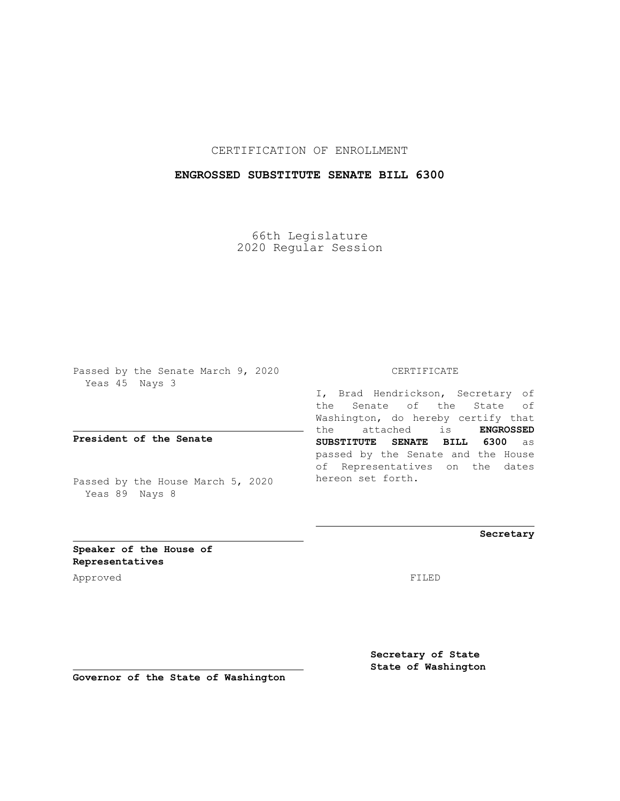## CERTIFICATION OF ENROLLMENT

## **ENGROSSED SUBSTITUTE SENATE BILL 6300**

66th Legislature 2020 Regular Session

Passed by the Senate March 9, 2020 Yeas 45 Nays 3

**President of the Senate**

Passed by the House March 5, 2020 Yeas 89 Nays 8

#### CERTIFICATE

I, Brad Hendrickson, Secretary of the Senate of the State of Washington, do hereby certify that the attached is **ENGROSSED SUBSTITUTE SENATE BILL 6300** as passed by the Senate and the House of Representatives on the dates hereon set forth.

**Secretary**

**Speaker of the House of Representatives**

Approved FILED

**Secretary of State State of Washington**

**Governor of the State of Washington**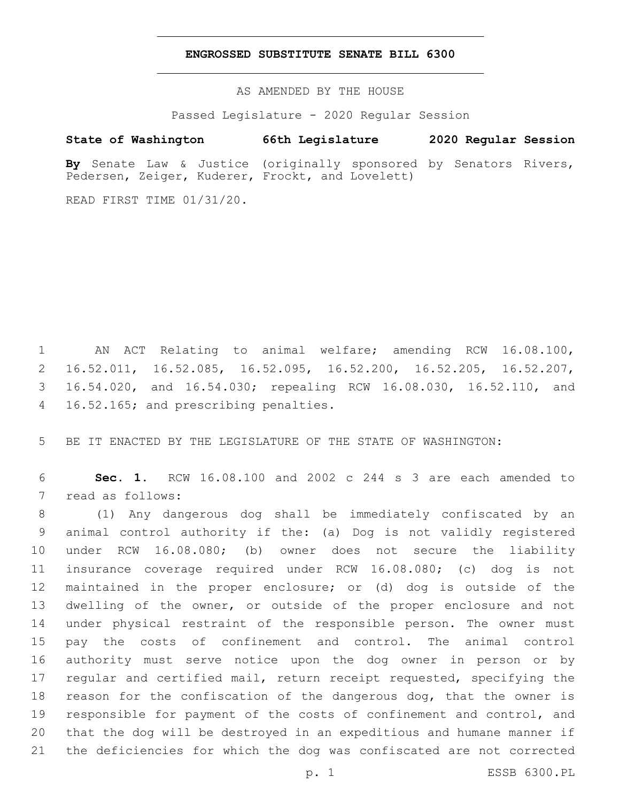### **ENGROSSED SUBSTITUTE SENATE BILL 6300**

AS AMENDED BY THE HOUSE

Passed Legislature - 2020 Regular Session

# **State of Washington 66th Legislature 2020 Regular Session**

**By** Senate Law & Justice (originally sponsored by Senators Rivers, Pedersen, Zeiger, Kuderer, Frockt, and Lovelett)

READ FIRST TIME 01/31/20.

 AN ACT Relating to animal welfare; amending RCW 16.08.100, 16.52.011, 16.52.085, 16.52.095, 16.52.200, 16.52.205, 16.52.207, 16.54.020, and 16.54.030; repealing RCW 16.08.030, 16.52.110, and 4 16.52.165; and prescribing penalties.

BE IT ENACTED BY THE LEGISLATURE OF THE STATE OF WASHINGTON:

 **Sec. 1.** RCW 16.08.100 and 2002 c 244 s 3 are each amended to 7 read as follows:

 (1) Any dangerous dog shall be immediately confiscated by an animal control authority if the: (a) Dog is not validly registered under RCW 16.08.080; (b) owner does not secure the liability insurance coverage required under RCW 16.08.080; (c) dog is not maintained in the proper enclosure; or (d) dog is outside of the 13 dwelling of the owner, or outside of the proper enclosure and not under physical restraint of the responsible person. The owner must pay the costs of confinement and control. The animal control authority must serve notice upon the dog owner in person or by regular and certified mail, return receipt requested, specifying the reason for the confiscation of the dangerous dog, that the owner is responsible for payment of the costs of confinement and control, and that the dog will be destroyed in an expeditious and humane manner if the deficiencies for which the dog was confiscated are not corrected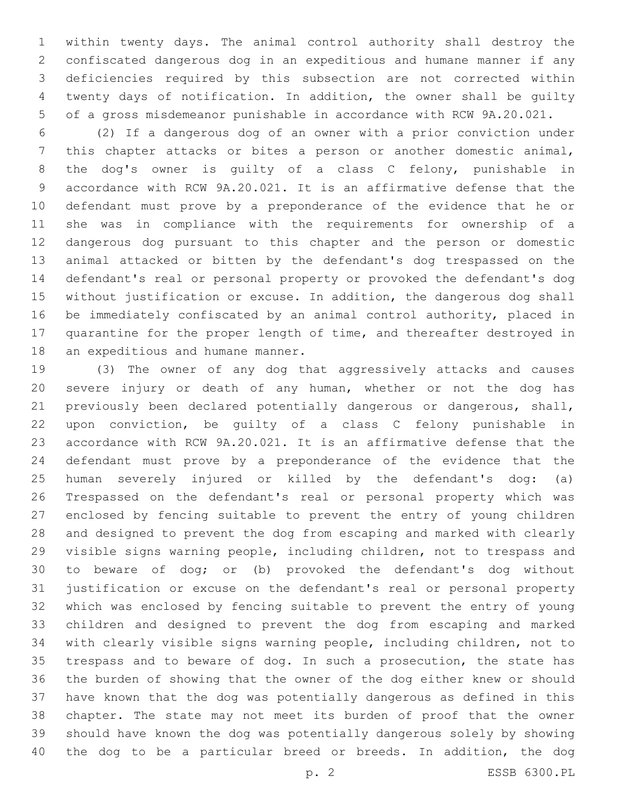within twenty days. The animal control authority shall destroy the confiscated dangerous dog in an expeditious and humane manner if any deficiencies required by this subsection are not corrected within twenty days of notification. In addition, the owner shall be guilty of a gross misdemeanor punishable in accordance with RCW 9A.20.021.

 (2) If a dangerous dog of an owner with a prior conviction under this chapter attacks or bites a person or another domestic animal, the dog's owner is guilty of a class C felony, punishable in accordance with RCW 9A.20.021. It is an affirmative defense that the defendant must prove by a preponderance of the evidence that he or she was in compliance with the requirements for ownership of a dangerous dog pursuant to this chapter and the person or domestic animal attacked or bitten by the defendant's dog trespassed on the defendant's real or personal property or provoked the defendant's dog without justification or excuse. In addition, the dangerous dog shall be immediately confiscated by an animal control authority, placed in quarantine for the proper length of time, and thereafter destroyed in 18 an expeditious and humane manner.

 (3) The owner of any dog that aggressively attacks and causes severe injury or death of any human, whether or not the dog has previously been declared potentially dangerous or dangerous, shall, upon conviction, be guilty of a class C felony punishable in accordance with RCW 9A.20.021. It is an affirmative defense that the defendant must prove by a preponderance of the evidence that the human severely injured or killed by the defendant's dog: (a) Trespassed on the defendant's real or personal property which was enclosed by fencing suitable to prevent the entry of young children and designed to prevent the dog from escaping and marked with clearly visible signs warning people, including children, not to trespass and to beware of dog; or (b) provoked the defendant's dog without justification or excuse on the defendant's real or personal property which was enclosed by fencing suitable to prevent the entry of young children and designed to prevent the dog from escaping and marked with clearly visible signs warning people, including children, not to trespass and to beware of dog. In such a prosecution, the state has the burden of showing that the owner of the dog either knew or should have known that the dog was potentially dangerous as defined in this chapter. The state may not meet its burden of proof that the owner should have known the dog was potentially dangerous solely by showing the dog to be a particular breed or breeds. In addition, the dog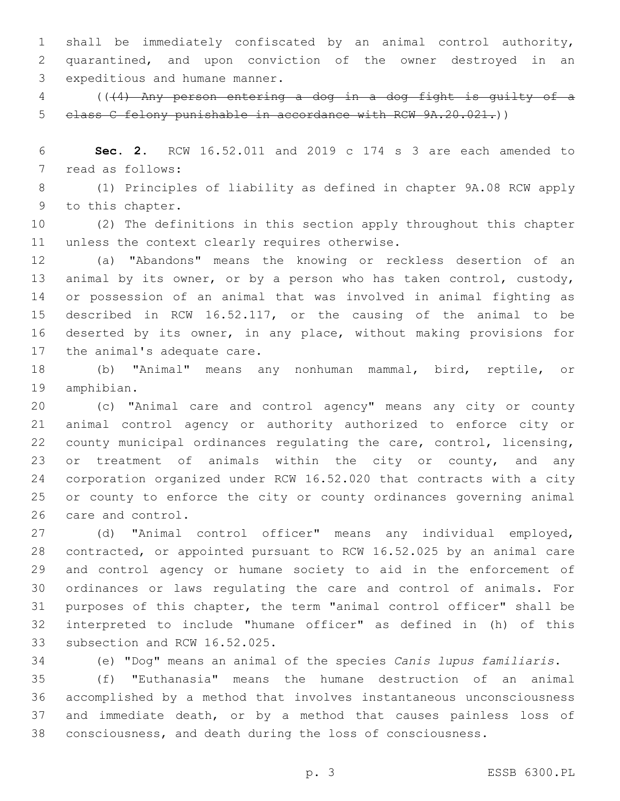shall be immediately confiscated by an animal control authority, quarantined, and upon conviction of the owner destroyed in an 3 expeditious and humane manner.

 (((4) Any person entering a dog in a dog fight is guilty of a class C felony punishable in accordance with RCW 9A.20.021.))

 **Sec. 2.** RCW 16.52.011 and 2019 c 174 s 3 are each amended to 7 read as follows:

 (1) Principles of liability as defined in chapter 9A.08 RCW apply 9 to this chapter.

 (2) The definitions in this section apply throughout this chapter 11 unless the context clearly requires otherwise.

 (a) "Abandons" means the knowing or reckless desertion of an animal by its owner, or by a person who has taken control, custody, or possession of an animal that was involved in animal fighting as described in RCW 16.52.117, or the causing of the animal to be deserted by its owner, in any place, without making provisions for 17 the animal's adequate care.

 (b) "Animal" means any nonhuman mammal, bird, reptile, or 19 amphibian.

 (c) "Animal care and control agency" means any city or county animal control agency or authority authorized to enforce city or county municipal ordinances regulating the care, control, licensing, 23 or treatment of animals within the city or county, and any corporation organized under RCW 16.52.020 that contracts with a city or county to enforce the city or county ordinances governing animal 26 care and control.

 (d) "Animal control officer" means any individual employed, contracted, or appointed pursuant to RCW 16.52.025 by an animal care and control agency or humane society to aid in the enforcement of ordinances or laws regulating the care and control of animals. For purposes of this chapter, the term "animal control officer" shall be interpreted to include "humane officer" as defined in (h) of this 33 subsection and RCW 16.52.025.

(e) "Dog" means an animal of the species *Canis lupus familiaris*.

 (f) "Euthanasia" means the humane destruction of an animal accomplished by a method that involves instantaneous unconsciousness and immediate death, or by a method that causes painless loss of consciousness, and death during the loss of consciousness.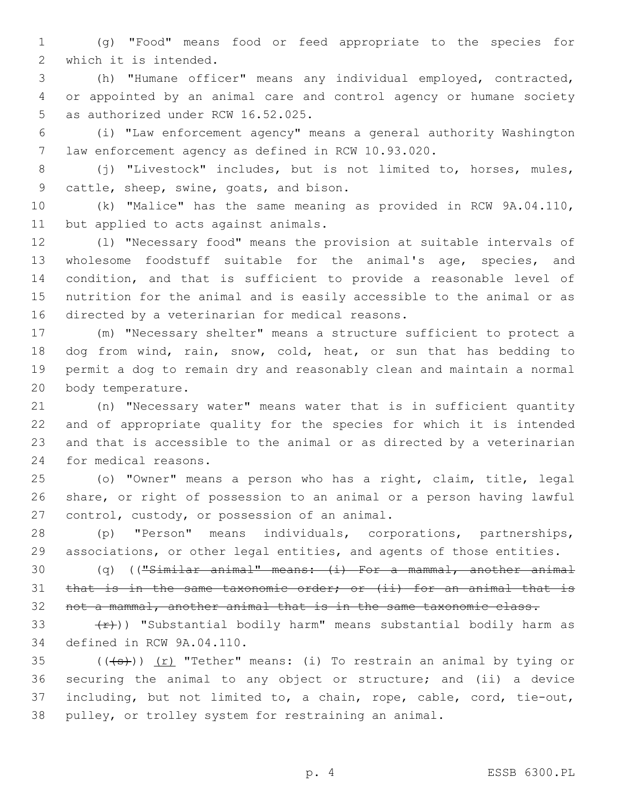(g) "Food" means food or feed appropriate to the species for 2 which it is intended.

 (h) "Humane officer" means any individual employed, contracted, or appointed by an animal care and control agency or humane society 5 as authorized under RCW 16.52.025.

 (i) "Law enforcement agency" means a general authority Washington law enforcement agency as defined in RCW 10.93.020.

 (j) "Livestock" includes, but is not limited to, horses, mules, 9 cattle, sheep, swine, goats, and bison.

 (k) "Malice" has the same meaning as provided in RCW 9A.04.110, 11 but applied to acts against animals.

 (l) "Necessary food" means the provision at suitable intervals of wholesome foodstuff suitable for the animal's age, species, and condition, and that is sufficient to provide a reasonable level of nutrition for the animal and is easily accessible to the animal or as 16 directed by a veterinarian for medical reasons.

 (m) "Necessary shelter" means a structure sufficient to protect a dog from wind, rain, snow, cold, heat, or sun that has bedding to permit a dog to remain dry and reasonably clean and maintain a normal 20 body temperature.

 (n) "Necessary water" means water that is in sufficient quantity and of appropriate quality for the species for which it is intended and that is accessible to the animal or as directed by a veterinarian 24 for medical reasons.

 (o) "Owner" means a person who has a right, claim, title, legal share, or right of possession to an animal or a person having lawful 27 control, custody, or possession of an animal.

 (p) "Person" means individuals, corporations, partnerships, associations, or other legal entities, and agents of those entities.

 (q) (("Similar animal" means: (i) For a mammal, another animal 31 that is in the same taxonomic order; or (ii) for an animal that is 32 not a mammal, another animal that is in the same taxonomic class.

33  $(r)$ )) "Substantial bodily harm" means substantial bodily harm as 34 defined in RCW 9A.04.110.

 $((+s))$   $(r)$  "Tether" means: (i) To restrain an animal by tying or securing the animal to any object or structure; and (ii) a device including, but not limited to, a chain, rope, cable, cord, tie-out, pulley, or trolley system for restraining an animal.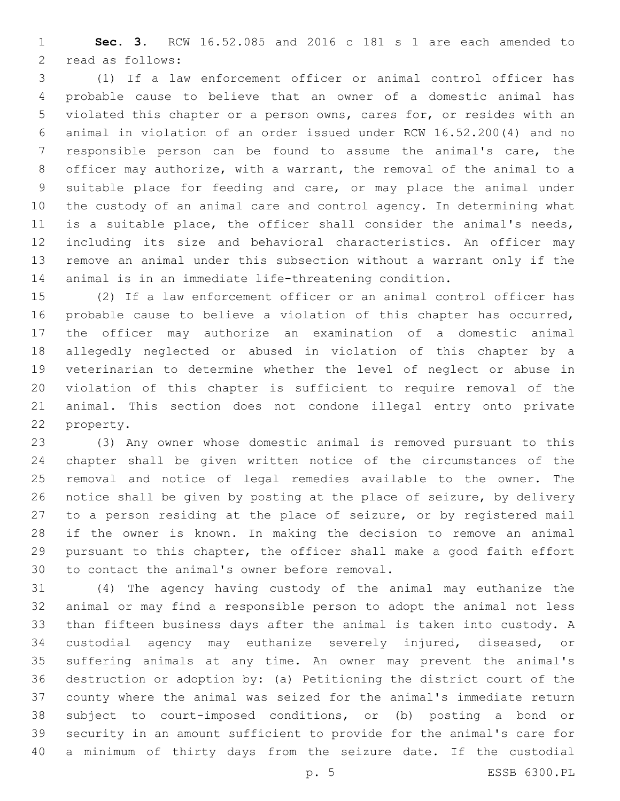**Sec. 3.** RCW 16.52.085 and 2016 c 181 s 1 are each amended to 2 read as follows:

 (1) If a law enforcement officer or animal control officer has probable cause to believe that an owner of a domestic animal has violated this chapter or a person owns, cares for, or resides with an animal in violation of an order issued under RCW 16.52.200(4) and no responsible person can be found to assume the animal's care, the officer may authorize, with a warrant, the removal of the animal to a suitable place for feeding and care, or may place the animal under the custody of an animal care and control agency. In determining what is a suitable place, the officer shall consider the animal's needs, including its size and behavioral characteristics. An officer may remove an animal under this subsection without a warrant only if the animal is in an immediate life-threatening condition.

 (2) If a law enforcement officer or an animal control officer has probable cause to believe a violation of this chapter has occurred, the officer may authorize an examination of a domestic animal allegedly neglected or abused in violation of this chapter by a veterinarian to determine whether the level of neglect or abuse in violation of this chapter is sufficient to require removal of the animal. This section does not condone illegal entry onto private 22 property.

 (3) Any owner whose domestic animal is removed pursuant to this chapter shall be given written notice of the circumstances of the removal and notice of legal remedies available to the owner. The notice shall be given by posting at the place of seizure, by delivery to a person residing at the place of seizure, or by registered mail if the owner is known. In making the decision to remove an animal pursuant to this chapter, the officer shall make a good faith effort 30 to contact the animal's owner before removal.

 (4) The agency having custody of the animal may euthanize the animal or may find a responsible person to adopt the animal not less than fifteen business days after the animal is taken into custody. A custodial agency may euthanize severely injured, diseased, or suffering animals at any time. An owner may prevent the animal's destruction or adoption by: (a) Petitioning the district court of the county where the animal was seized for the animal's immediate return subject to court-imposed conditions, or (b) posting a bond or security in an amount sufficient to provide for the animal's care for a minimum of thirty days from the seizure date. If the custodial

p. 5 ESSB 6300.PL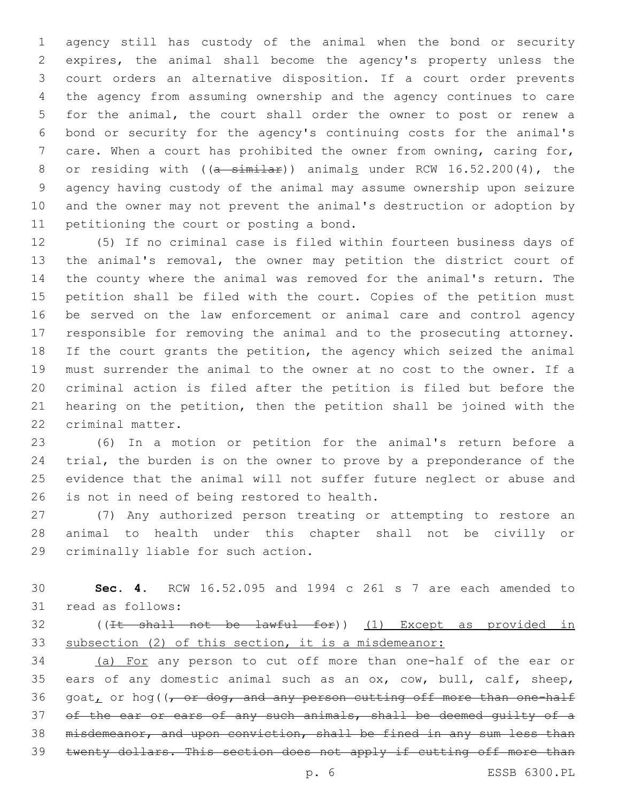agency still has custody of the animal when the bond or security expires, the animal shall become the agency's property unless the court orders an alternative disposition. If a court order prevents the agency from assuming ownership and the agency continues to care for the animal, the court shall order the owner to post or renew a bond or security for the agency's continuing costs for the animal's care. When a court has prohibited the owner from owning, caring for, 8 or residing with  $((a - \sin i a))$  animals under RCW 16.52.200(4), the agency having custody of the animal may assume ownership upon seizure and the owner may not prevent the animal's destruction or adoption by 11 petitioning the court or posting a bond.

 (5) If no criminal case is filed within fourteen business days of the animal's removal, the owner may petition the district court of the county where the animal was removed for the animal's return. The petition shall be filed with the court. Copies of the petition must be served on the law enforcement or animal care and control agency responsible for removing the animal and to the prosecuting attorney. If the court grants the petition, the agency which seized the animal must surrender the animal to the owner at no cost to the owner. If a criminal action is filed after the petition is filed but before the hearing on the petition, then the petition shall be joined with the 22 criminal matter.

 (6) In a motion or petition for the animal's return before a trial, the burden is on the owner to prove by a preponderance of the evidence that the animal will not suffer future neglect or abuse and 26 is not in need of being restored to health.

 (7) Any authorized person treating or attempting to restore an animal to health under this chapter shall not be civilly or 29 criminally liable for such action.

 **Sec. 4.** RCW 16.52.095 and 1994 c 261 s 7 are each amended to 31 read as follows:

 ((It shall not be lawful for)) (1) Except as provided in subsection (2) of this section, it is a misdemeanor:

 (a) For any person to cut off more than one-half of the ear or ears of any domestic animal such as an ox, cow, bull, calf, sheep,  $q$ oat, or hog( $\sqrt{r}$  or dog, and any person cutting off more than one-half 37 of the ear or ears of any such animals, shall be deemed quilty of a misdemeanor, and upon conviction, shall be fined in any sum less than twenty dollars. This section does not apply if cutting off more than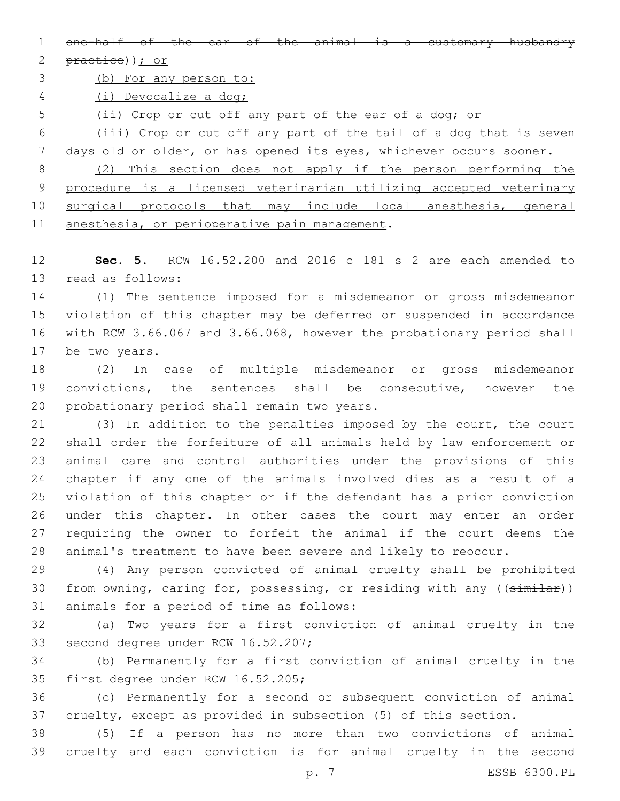1 one-half of the ear of the animal is a customary husbandry

2 practice)); or

(b) For any person to:

(i) Devocalize a dog;

(ii) Crop or cut off any part of the ear of a dog; or

 (iii) Crop or cut off any part of the tail of a dog that is seven days old or older, or has opened its eyes, whichever occurs sooner.

 (2) This section does not apply if the person performing the procedure is a licensed veterinarian utilizing accepted veterinary surgical protocols that may include local anesthesia, general 11 anesthesia, or perioperative pain management.

 **Sec. 5.** RCW 16.52.200 and 2016 c 181 s 2 are each amended to 13 read as follows:

 (1) The sentence imposed for a misdemeanor or gross misdemeanor violation of this chapter may be deferred or suspended in accordance with RCW 3.66.067 and 3.66.068, however the probationary period shall 17 be two years.

 (2) In case of multiple misdemeanor or gross misdemeanor convictions, the sentences shall be consecutive, however the 20 probationary period shall remain two years.

 (3) In addition to the penalties imposed by the court, the court shall order the forfeiture of all animals held by law enforcement or animal care and control authorities under the provisions of this chapter if any one of the animals involved dies as a result of a violation of this chapter or if the defendant has a prior conviction under this chapter. In other cases the court may enter an order requiring the owner to forfeit the animal if the court deems the animal's treatment to have been severe and likely to reoccur.

 (4) Any person convicted of animal cruelty shall be prohibited 30 from owning, caring for, possessing, or residing with any ((similar)) 31 animals for a period of time as follows:

 (a) Two years for a first conviction of animal cruelty in the 33 second degree under RCW 16.52.207;

 (b) Permanently for a first conviction of animal cruelty in the 35 first degree under RCW 16.52.205;

 (c) Permanently for a second or subsequent conviction of animal cruelty, except as provided in subsection (5) of this section.

 (5) If a person has no more than two convictions of animal cruelty and each conviction is for animal cruelty in the second

p. 7 ESSB 6300.PL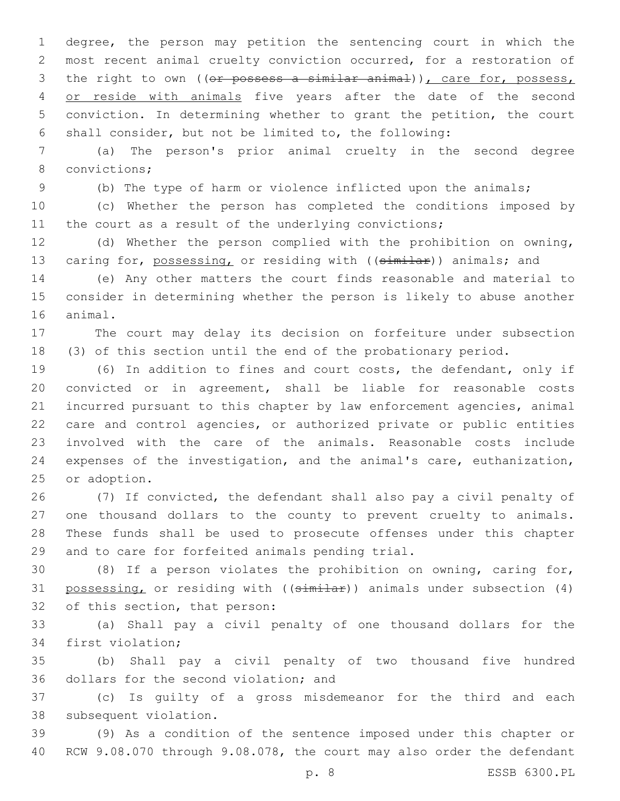degree, the person may petition the sentencing court in which the most recent animal cruelty conviction occurred, for a restoration of 3 the right to own ((or possess a similar animal)), care for, possess, 4 or reside with animals five years after the date of the second conviction. In determining whether to grant the petition, the court shall consider, but not be limited to, the following:

 (a) The person's prior animal cruelty in the second degree 8 convictions;

(b) The type of harm or violence inflicted upon the animals;

 (c) Whether the person has completed the conditions imposed by 11 the court as a result of the underlying convictions;

 (d) Whether the person complied with the prohibition on owning, 13 caring for, possessing, or residing with ((similar)) animals; and

 (e) Any other matters the court finds reasonable and material to consider in determining whether the person is likely to abuse another 16 animal.

 The court may delay its decision on forfeiture under subsection (3) of this section until the end of the probationary period.

 (6) In addition to fines and court costs, the defendant, only if convicted or in agreement, shall be liable for reasonable costs incurred pursuant to this chapter by law enforcement agencies, animal care and control agencies, or authorized private or public entities involved with the care of the animals. Reasonable costs include expenses of the investigation, and the animal's care, euthanization, 25 or adoption.

 (7) If convicted, the defendant shall also pay a civil penalty of one thousand dollars to the county to prevent cruelty to animals. These funds shall be used to prosecute offenses under this chapter 29 and to care for forfeited animals pending trial.

 (8) If a person violates the prohibition on owning, caring for, 31 possessing, or residing with ((similar)) animals under subsection (4) 32 of this section, that person:

 (a) Shall pay a civil penalty of one thousand dollars for the 34 first violation;

 (b) Shall pay a civil penalty of two thousand five hundred 36 dollars for the second violation; and

 (c) Is guilty of a gross misdemeanor for the third and each 38 subsequent violation.

 (9) As a condition of the sentence imposed under this chapter or RCW 9.08.070 through 9.08.078, the court may also order the defendant

p. 8 ESSB 6300.PL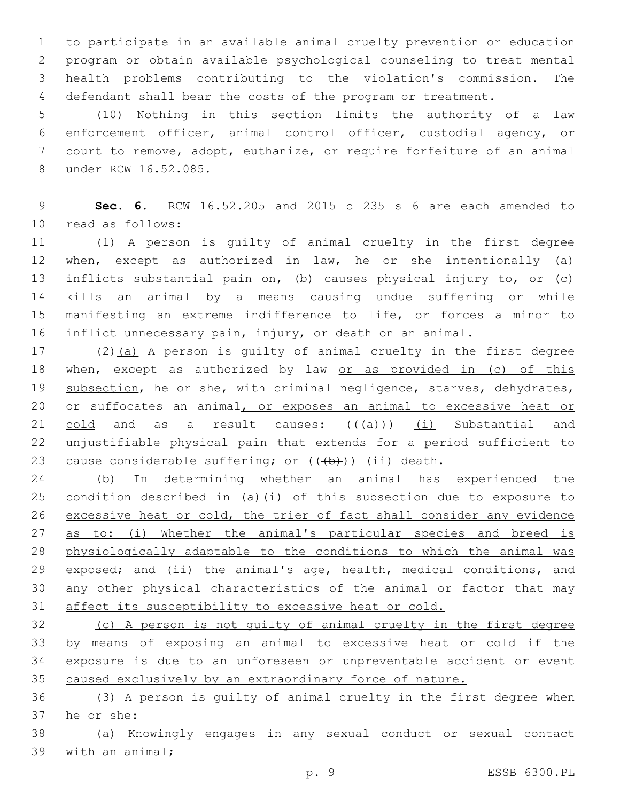to participate in an available animal cruelty prevention or education program or obtain available psychological counseling to treat mental health problems contributing to the violation's commission. The defendant shall bear the costs of the program or treatment.

 (10) Nothing in this section limits the authority of a law enforcement officer, animal control officer, custodial agency, or court to remove, adopt, euthanize, or require forfeiture of an animal 8 under RCW 16.52.085.

 **Sec. 6.** RCW 16.52.205 and 2015 c 235 s 6 are each amended to read as follows:10

 (1) A person is guilty of animal cruelty in the first degree when, except as authorized in law, he or she intentionally (a) inflicts substantial pain on, (b) causes physical injury to, or (c) kills an animal by a means causing undue suffering or while manifesting an extreme indifference to life, or forces a minor to inflict unnecessary pain, injury, or death on an animal.

 (2)(a) A person is guilty of animal cruelty in the first degree 18 when, except as authorized by law or as provided in (c) of this 19 subsection, he or she, with criminal negligence, starves, dehydrates, 20 or suffocates an animal, or exposes an animal to excessive heat or 21 cold and as a result causes:  $((+a))$  (i) Substantial and unjustifiable physical pain that extends for a period sufficient to 23 cause considerable suffering; or  $((\theta)+))$  (ii) death.

 (b) In determining whether an animal has experienced the condition described in (a)(i) of this subsection due to exposure to excessive heat or cold, the trier of fact shall consider any evidence 27 as to: (i) Whether the animal's particular species and breed is physiologically adaptable to the conditions to which the animal was 29 exposed; and (ii) the animal's age, health, medical conditions, and any other physical characteristics of the animal or factor that may 31 affect its susceptibility to excessive heat or cold.

 (c) A person is not guilty of animal cruelty in the first degree by means of exposing an animal to excessive heat or cold if the exposure is due to an unforeseen or unpreventable accident or event caused exclusively by an extraordinary force of nature.

 (3) A person is guilty of animal cruelty in the first degree when 37 he or she:

 (a) Knowingly engages in any sexual conduct or sexual contact 39 with an animal;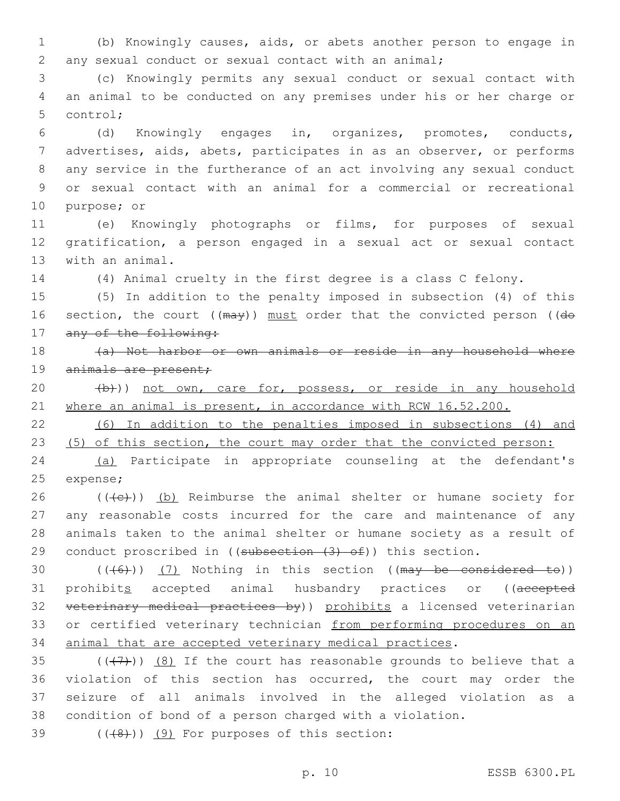1 (b) Knowingly causes, aids, or abets another person to engage in 2 any sexual conduct or sexual contact with an animal;

3 (c) Knowingly permits any sexual conduct or sexual contact with 4 an animal to be conducted on any premises under his or her charge or 5 control;

 (d) Knowingly engages in, organizes, promotes, conducts, advertises, aids, abets, participates in as an observer, or performs any service in the furtherance of an act involving any sexual conduct or sexual contact with an animal for a commercial or recreational 10 purpose; or

11 (e) Knowingly photographs or films, for purposes of sexual 12 gratification, a person engaged in a sexual act or sexual contact 13 with an animal.

14 (4) Animal cruelty in the first degree is a class C felony.

15 (5) In addition to the penalty imposed in subsection (4) of this 16 section, the court  $((\text{max}))$  must order that the convicted person (( $d\theta$ 17 any of the following:

18 (a) Not harbor or own animals or reside in any household where 19 animals are present;

20 (b))) not own, care for, possess, or reside in any household 21 where an animal is present, in accordance with RCW 16.52.200.

22 (6) In addition to the penalties imposed in subsections (4) and 23 (5) of this section, the court may order that the convicted person:

24 (a) Participate in appropriate counseling at the defendant's 25 expense;

 (( $\left(\frac{1}{2}\right)$ ) (b) Reimburse the animal shelter or humane society for any reasonable costs incurred for the care and maintenance of any animals taken to the animal shelter or humane society as a result of 29 conduct proscribed in ((subsection  $(3)$  of)) this section.

30  $((+6)$ )  $(7)$  Nothing in this section ((may be considered to)) 31 prohibits accepted animal husbandry practices or ((accepted 32 veterinary medical practices by)) prohibits a licensed veterinarian 33 or certified veterinary technician from performing procedures on an 34 animal that are accepted veterinary medical practices.

 $((+7+))$   $(8)$  If the court has reasonable grounds to believe that a violation of this section has occurred, the court may order the seizure of all animals involved in the alleged violation as a condition of bond of a person charged with a violation.

 $($  $($  $($  $($  $($  $($  $)$  $)$  $($  $)$   $($  $)$  For purposes of this section:

p. 10 ESSB 6300.PL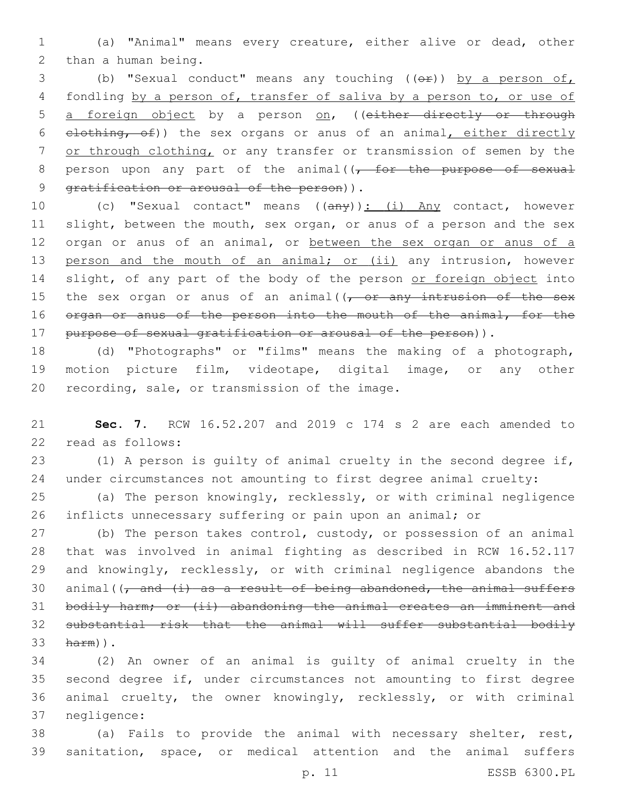1 (a) "Animal" means every creature, either alive or dead, other 2 than a human being.

3 (b) "Sexual conduct" means any touching (( $\Theta$ r)) by a person of, 4 fondling by a person of, transfer of saliva by a person to, or use of 5 a foreign object by a person on, ((either directly or through 6 elothing, of)) the sex organs or anus of an animal, either directly 7 or through clothing, or any transfer or transmission of semen by the 8 person upon any part of the animal( $\sqrt{f}$  or the purpose of sexual 9 gratification or arousal of the person)).

10 (c) "Sexual contact" means ((any)): (i) Any contact, however 11 slight, between the mouth, sex organ, or anus of a person and the sex 12 organ or anus of an animal, or between the sex organ or anus of a 13 person and the mouth of an animal; or (ii) any intrusion, however 14 slight, of any part of the body of the person or foreign object into 15 the sex organ or anus of an animal( $\sqrt{f}$  or any intrusion of the sex 16 organ or anus of the person into the mouth of the animal, for the 17 purpose of sexual gratification or arousal of the person)).

18 (d) "Photographs" or "films" means the making of a photograph, 19 motion picture film, videotape, digital image, or any other 20 recording, sale, or transmission of the image.

21 **Sec. 7.** RCW 16.52.207 and 2019 c 174 s 2 are each amended to 22 read as follows:

23 (1) A person is guilty of animal cruelty in the second degree if, 24 under circumstances not amounting to first degree animal cruelty:

25 (a) The person knowingly, recklessly, or with criminal negligence 26 inflicts unnecessary suffering or pain upon an animal; or

27 (b) The person takes control, custody, or possession of an animal 28 that was involved in animal fighting as described in RCW 16.52.117 29 and knowingly, recklessly, or with criminal negligence abandons the 30 animal( $\frac{1}{7}$  and  $\frac{1}{4}$  as a result of being abandoned, the animal suffers 31 bodily harm; or (ii) abandoning the animal creates an imminent and 32 substantial risk that the animal will suffer substantial bodily 33 harm)).

 (2) An owner of an animal is guilty of animal cruelty in the second degree if, under circumstances not amounting to first degree animal cruelty, the owner knowingly, recklessly, or with criminal 37 negligence:

38 (a) Fails to provide the animal with necessary shelter, rest, 39 sanitation, space, or medical attention and the animal suffers

p. 11 ESSB 6300.PL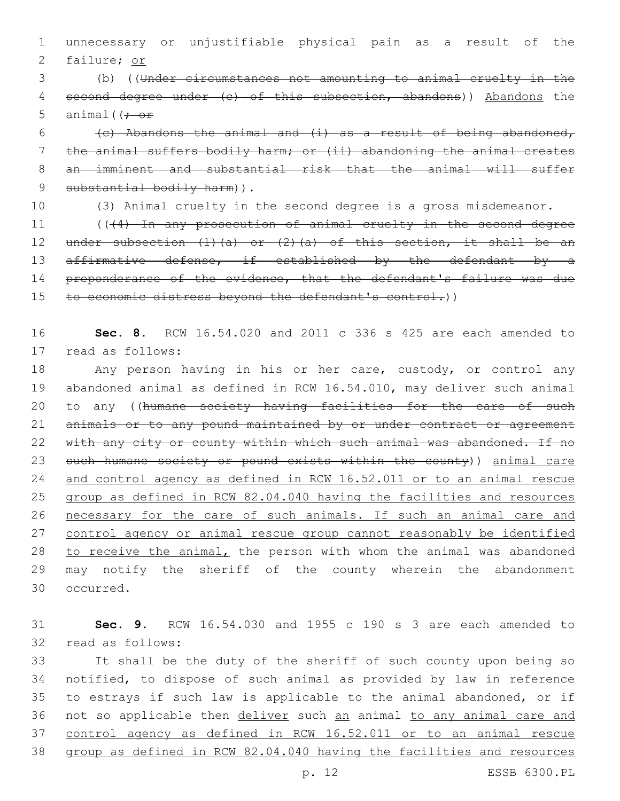1 unnecessary or unjustifiable physical pain as a result of the 2 failure; or

3 (b) ((Under circumstances not amounting to animal cruelty in the 4 second degree under (c) of this subsection, abandons)) Abandons the 5 animal( $\left(f - \sigma f\right)$ 

6 (c) Abandons the animal and  $(i)$  as a result of being abandoned, 7 the animal suffers bodily harm; or (ii) abandoning the animal creates 8 an imminent and substantial risk that the animal will suffer 9 substantial bodily harm)).

10 (3) Animal cruelty in the second degree is a gross misdemeanor.

11 (((4) In any prosecution of animal cruelty in the second degree 12 under subsection  $(1)$   $(a)$  or  $(2)$   $(a)$  of this section, it shall be an 13 affirmative defense, if established by the defendant by a 14 preponderance of the evidence, that the defendant's failure was due 15 to economic distress beyond the defendant's control.))

16 **Sec. 8.** RCW 16.54.020 and 2011 c 336 s 425 are each amended to 17 read as follows:

 Any person having in his or her care, custody, or control any abandoned animal as defined in RCW 16.54.010, may deliver such animal 20 to any ((humane society having facilities for the care of such 21 animals or to any pound maintained by or under contract or agreement 22 with any city or county within which such animal was abandoned. If no 23 such humane society or pound exists within the county)) animal care and control agency as defined in RCW 16.52.011 or to an animal rescue group as defined in RCW 82.04.040 having the facilities and resources necessary for the care of such animals. If such an animal care and control agency or animal rescue group cannot reasonably be identified to receive the animal, the person with whom the animal was abandoned may notify the sheriff of the county wherein the abandonment 30 occurred.

31 **Sec. 9.** RCW 16.54.030 and 1955 c 190 s 3 are each amended to 32 read as follows:

 It shall be the duty of the sheriff of such county upon being so notified, to dispose of such animal as provided by law in reference to estrays if such law is applicable to the animal abandoned, or if 36 not so applicable then deliver such an animal to any animal care and control agency as defined in RCW 16.52.011 or to an animal rescue group as defined in RCW 82.04.040 having the facilities and resources